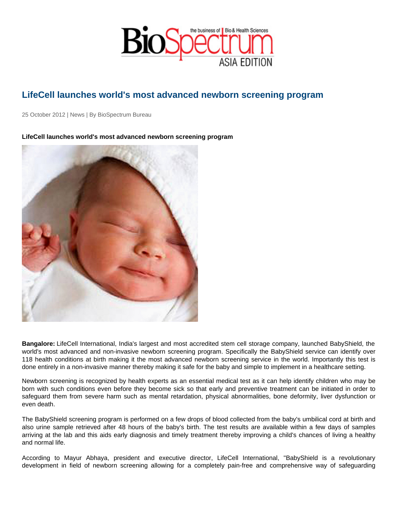## LifeCell launches world's most advanced newborn screening program

25 October 2012 | News | By BioSpectrum Bureau

LifeCell launches world's most advanced newborn screening program

Bangalore: LifeCell International, India's largest and most accredited stem cell storage company, launched BabyShield, the world's most advanced and non-invasive newborn screening program. Specifically the BabyShield service can identify over 118 health conditions at birth making it the most advanced newborn screening service in the world. Importantly this test is done entirely in a non-invasive manner thereby making it safe for the baby and simple to implement in a healthcare setting.

Newborn screening is recognized by health experts as an essential medical test as it can help identify children who may be born with such conditions even before they become sick so that early and preventive treatment can be initiated in order to safeguard them from severe harm such as mental retardation, physical abnormalities, bone deformity, liver dysfunction or even death.

The BabyShield screening program is performed on a few drops of blood collected from the baby's umbilical cord at birth and also urine sample retrieved after 48 hours of the baby's birth. The test results are available within a few days of samples arriving at the lab and this aids early diagnosis and timely treatment thereby improving a child's chances of living a healthy and normal life.

According to Mayur Abhaya, president and executive director, LifeCell International, "BabyShield is a revolutionary development in field of newborn screening allowing for a completely pain-free and comprehensive way of safeguarding